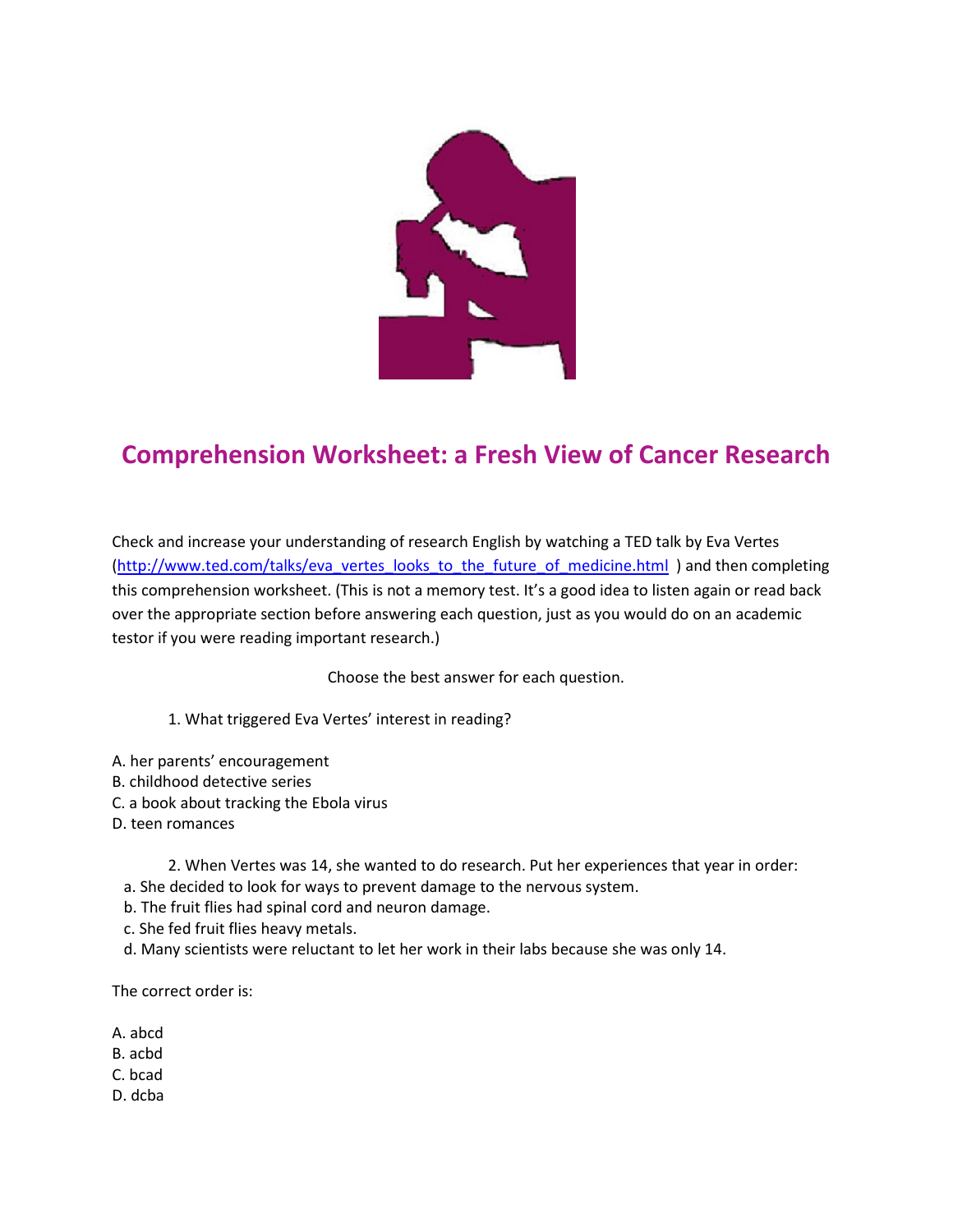

## Comprehension Worksheet: a Fresh View of Cancer Research

Check and increase your understanding of research English by watching a TED talk by Eva Vertes (http://www.ted.com/talks/eva\_vertes\_looks\_to\_the\_future\_of\_medicine.html ) and then completing this comprehension worksheet. (This is not a memory test. It's a good idea to listen again or read back over the appropriate section before answering each question, just as you would do on an academic testor if you were reading important research.)

Choose the best answer for each question.

1. What triggered Eva Vertes' interest in reading?

- A. her parents' encouragement
- B. childhood detective series
- C. a book about tracking the Ebola virus
- D. teen romances
	- 2. When Vertes was 14, she wanted to do research. Put her experiences that year in order:
	- a. She decided to look for ways to prevent damage to the nervous system.
	- b. The fruit flies had spinal cord and neuron damage.
	- c. She fed fruit flies heavy metals.
	- d. Many scientists were reluctant to let her work in their labs because she was only 14.

The correct order is:

- A. abcd
- B. acbd
- C. bcad
- D. dcba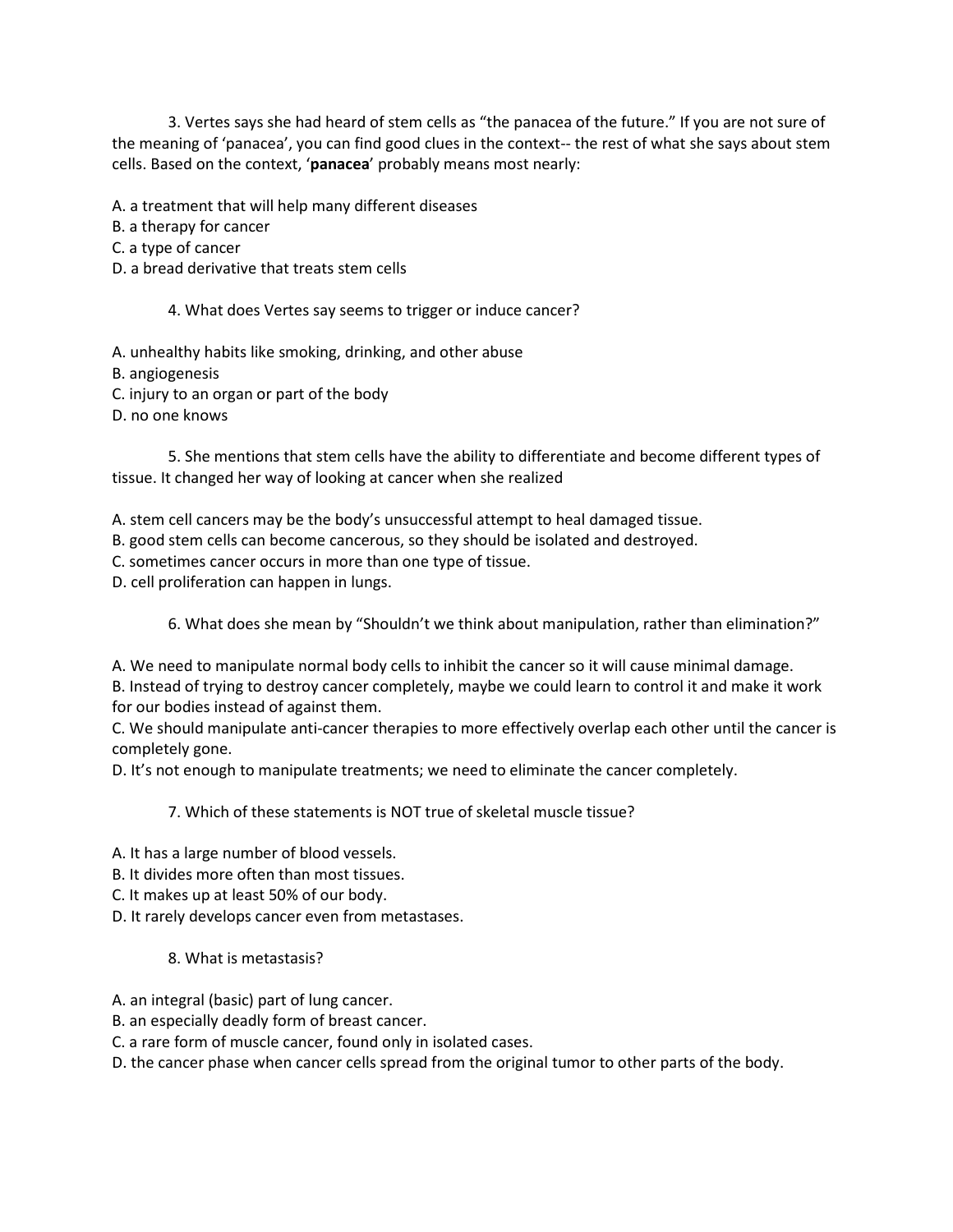3. Vertes says she had heard of stem cells as "the panacea of the future." If you are not sure of the meaning of 'panacea', you can find good clues in the context-- the rest of what she says about stem cells. Based on the context, 'panacea' probably means most nearly:

A. a treatment that will help many different diseases

B. a therapy for cancer

C. a type of cancer

D. a bread derivative that treats stem cells

4. What does Vertes say seems to trigger or induce cancer?

A. unhealthy habits like smoking, drinking, and other abuse

B. angiogenesis

C. injury to an organ or part of the body

D. no one knows

 5. She mentions that stem cells have the ability to differentiate and become different types of tissue. It changed her way of looking at cancer when she realized

A. stem cell cancers may be the body's unsuccessful attempt to heal damaged tissue.

B. good stem cells can become cancerous, so they should be isolated and destroyed.

C. sometimes cancer occurs in more than one type of tissue.

D. cell proliferation can happen in lungs.

6. What does she mean by "Shouldn't we think about manipulation, rather than elimination?"

A. We need to manipulate normal body cells to inhibit the cancer so it will cause minimal damage.

B. Instead of trying to destroy cancer completely, maybe we could learn to control it and make it work for our bodies instead of against them.

C. We should manipulate anti-cancer therapies to more effectively overlap each other until the cancer is completely gone.

D. It's not enough to manipulate treatments; we need to eliminate the cancer completely.

7. Which of these statements is NOT true of skeletal muscle tissue?

A. It has a large number of blood vessels.

B. It divides more often than most tissues.

C. It makes up at least 50% of our body.

D. It rarely develops cancer even from metastases.

## 8. What is metastasis?

- A. an integral (basic) part of lung cancer.
- B. an especially deadly form of breast cancer.
- C. a rare form of muscle cancer, found only in isolated cases.
- D. the cancer phase when cancer cells spread from the original tumor to other parts of the body.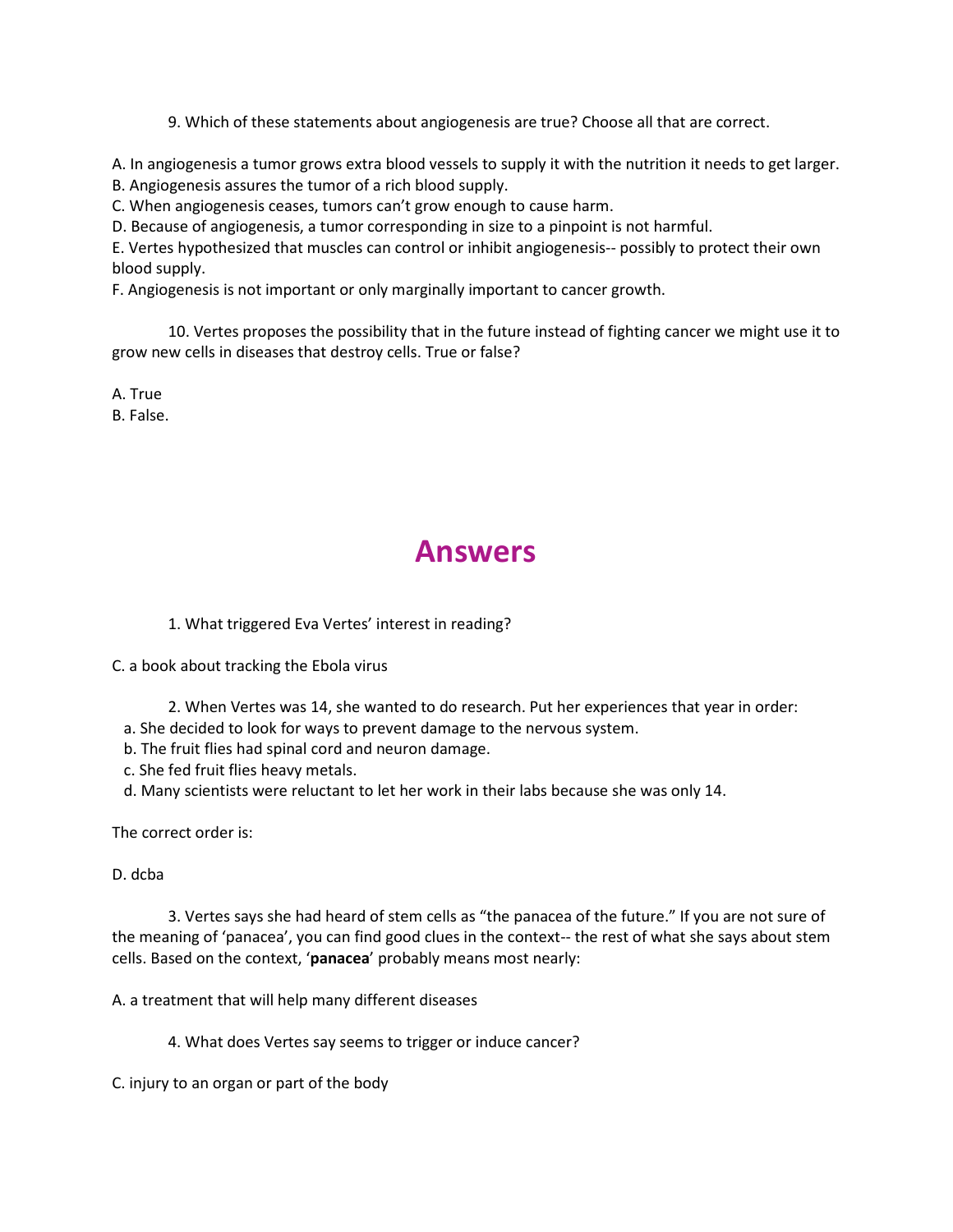9. Which of these statements about angiogenesis are true? Choose all that are correct.

A. In angiogenesis a tumor grows extra blood vessels to supply it with the nutrition it needs to get larger.

B. Angiogenesis assures the tumor of a rich blood supply.

C. When angiogenesis ceases, tumors can't grow enough to cause harm.

D. Because of angiogenesis, a tumor corresponding in size to a pinpoint is not harmful.

E. Vertes hypothesized that muscles can control or inhibit angiogenesis-- possibly to protect their own blood supply.

F. Angiogenesis is not important or only marginally important to cancer growth.

 10. Vertes proposes the possibility that in the future instead of fighting cancer we might use it to grow new cells in diseases that destroy cells. True or false?

A. True B. False.

## Answers

1. What triggered Eva Vertes' interest in reading?

C. a book about tracking the Ebola virus

- 2. When Vertes was 14, she wanted to do research. Put her experiences that year in order:
- a. She decided to look for ways to prevent damage to the nervous system.
- b. The fruit flies had spinal cord and neuron damage.
- c. She fed fruit flies heavy metals.
- d. Many scientists were reluctant to let her work in their labs because she was only 14.

The correct order is:

D. dcba

 3. Vertes says she had heard of stem cells as "the panacea of the future." If you are not sure of the meaning of 'panacea', you can find good clues in the context-- the rest of what she says about stem cells. Based on the context, 'panacea' probably means most nearly:

A. a treatment that will help many different diseases

4. What does Vertes say seems to trigger or induce cancer?

C. injury to an organ or part of the body